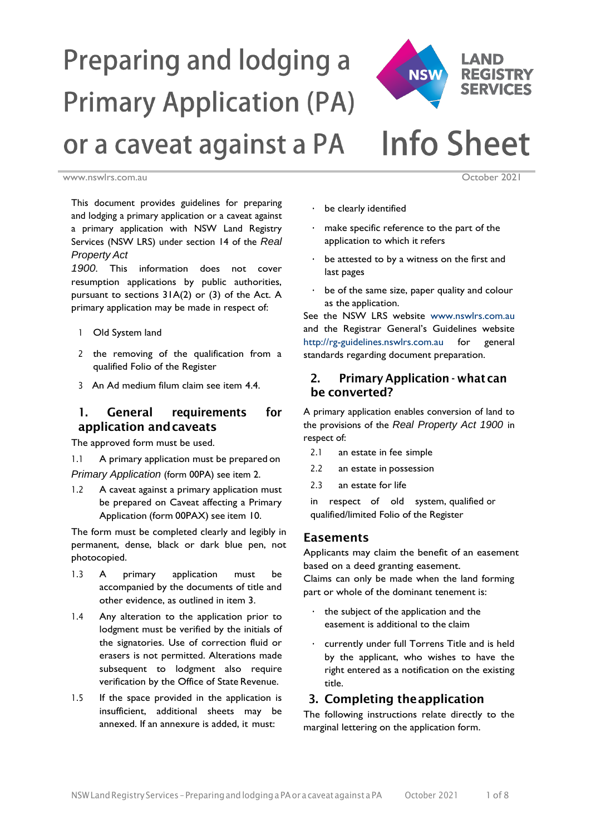

# **Preparing and lodging a Primary Application (PA) Info Sheet** or a caveat against a PA

[www.nswlrs.com.au](http://www.nswlrs.com.au/) **October 2021** 

This document provides guidelines for preparing and lodging a primary application or a caveat against a primary application with NSW Land Registry Services (NSW LRS) under section 14 of the *Real Property Act*

*1900*. This information does not cover resumption applications by public authorities, pursuant to sections 31A(2) or (3) of the Act. A primary application may be made in respect of:

- 1 Old System land
- 2 the removing of the qualification from a qualified Folio of the Register
- 3 An Ad medium filum claim see item 4.4.

# 1. General requirements for application andcaveats

The approved form must be used.

1.1 A primary application must be prepared on *Primary Application* (form 00PA) see item 2.

1.2 A caveat against a primary application must be prepared on Caveat affecting a Primary Application (form 00PAX) see item 10.

The form must be completed clearly and legibly in permanent, dense, black or dark blue pen, not photocopied.

- 1.3 A primary application must be accompanied by the documents of title and other evidence, as outlined in item 3.
- 1.4 Any alteration to the application prior to lodgment must be verified by the initials of the signatories. Use of correction fluid or erasers is not permitted. Alterations made subsequent to lodgment also require verification by the Office of State Revenue.
- 1.5 If the space provided in the application is insufficient, additional sheets may be annexed. If an annexure is added, it must:
- be clearly identified
- make specific reference to the part of the application to which it refers
- be attested to by a witness on the first and last pages
- be of the same size, paper quality and colour as the application.

See the NSW LRS website [www.nswlrs.com.au](http://www.lpi.nsw.gov.au/) and the Registrar General's Guidelines website [http://rg-guidelines.nswlrs.com.au](http://rgdirections.lpi.nsw.gov.au/) for general standards regarding document preparation.

# 2. Primary Application - what can be converted?

A primary application enables conversion of land to the provisions of the *Real Property Act 1900* in respect of:

- 2.1 an estate in fee simple
- 2.2 an estate in possession
- 2.3 an estate for life

in respect of old system, qualified or qualified/limited Folio of the Register

#### Easements

Applicants may claim the benefit of an easement based on a deed granting easement.

Claims can only be made when the land forming part or whole of the dominant tenement is:

- the subject of the application and the easement is additional to the claim
- currently under full Torrens Title and is held by the applicant, who wishes to have the right entered as a notification on the existing title.

# 3. Completing theapplication

The following instructions relate directly to the marginal lettering on the application form.

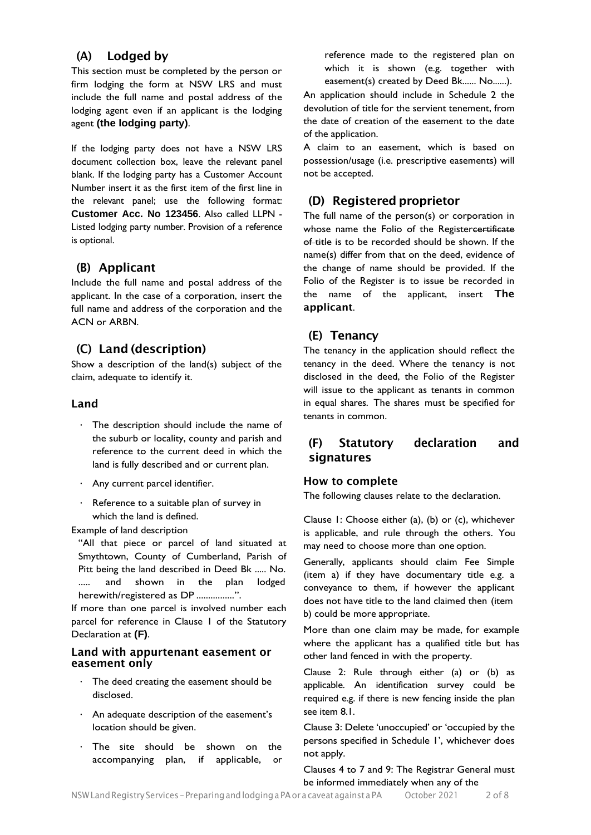# (A) Lodged by

This section must be completed by the person or firm lodging the form at NSW LRS and must include the full name and postal address of the lodging agent even if an applicant is the lodging agent **(the lodging party)**.

If the lodging party does not have a NSW LRS document collection box, leave the relevant panel blank. If the lodging party has a Customer Account Number insert it as the first item of the first line in the relevant panel; use the following format: **Customer Acc. No 123456**. Also called LLPN - Listed lodging party number. Provision of a reference is optional.

# (B) Applicant

Include the full name and postal address of the applicant. In the case of a corporation, insert the full name and address of the corporation and the ACN or ARBN.

# (C) Land (description)

Show a description of the land(s) subject of the claim, adequate to identify it.

## Land

- The description should include the name of the suburb or locality, county and parish and reference to the current deed in which the land is fully described and or current plan.
- Any current parcel identifier.
- Reference to a suitable plan of survey in which the land is defined.

Example of land description

"All that piece or parcel of land situated at Smythtown, County of Cumberland, Parish of Pitt being the land described in Deed Bk ..... No. ..... and shown in the plan lodged herewith/registered as DP ................".

If more than one parcel is involved number each parcel for reference in Clause 1 of the Statutory Declaration at **(F)**.

#### Land with appurtenant easement or easement only

- The deed creating the easement should be disclosed.
- An adequate description of the easement's location should be given.
- The site should be shown on the accompanying plan, if applicable, or

reference made to the registered plan on which it is shown (e.g. together with easement(s) created by Deed Bk...... No......).

An application should include in Schedule 2 the devolution of title for the servient tenement, from the date of creation of the easement to the date of the application.

A claim to an easement, which is based on possession/usage (i.e. prescriptive easements) will not be accepted.

# (D) Registered proprietor

The full name of the person(s) or corporation in whose name the Folio of the Registercertificate of title is to be recorded should be shown. If the name(s) differ from that on the deed, evidence of the change of name should be provided. If the Folio of the Register is to issue be recorded in the name of the applicant, insert The applicant.

# (E) Tenancy

The tenancy in the application should reflect the tenancy in the deed. Where the tenancy is not disclosed in the deed, the Folio of the Register will issue to the applicant as tenants in common in equal shares. The shares must be specified for tenants in common.

# (F) Statutory declaration and signatures

#### How to complete

The following clauses relate to the declaration.

Clause 1: Choose either (a), (b) or (c), whichever is applicable, and rule through the others. You may need to choose more than one option.

Generally, applicants should claim Fee Simple (item a) if they have documentary title e.g. a conveyance to them, if however the applicant does not have title to the land claimed then (item b) could be more appropriate.

More than one claim may be made, for example where the applicant has a qualified title but has other land fenced in with the property.

Clause 2: Rule through either (a) or (b) as applicable. An identification survey could be required e.g. if there is new fencing inside the plan see item 8.1.

Clause 3: Delete 'unoccupied' or 'occupied by the persons specified in Schedule 1', whichever does not apply.

Clauses 4 to 7 and 9: The Registrar General must be informed immediately when any of the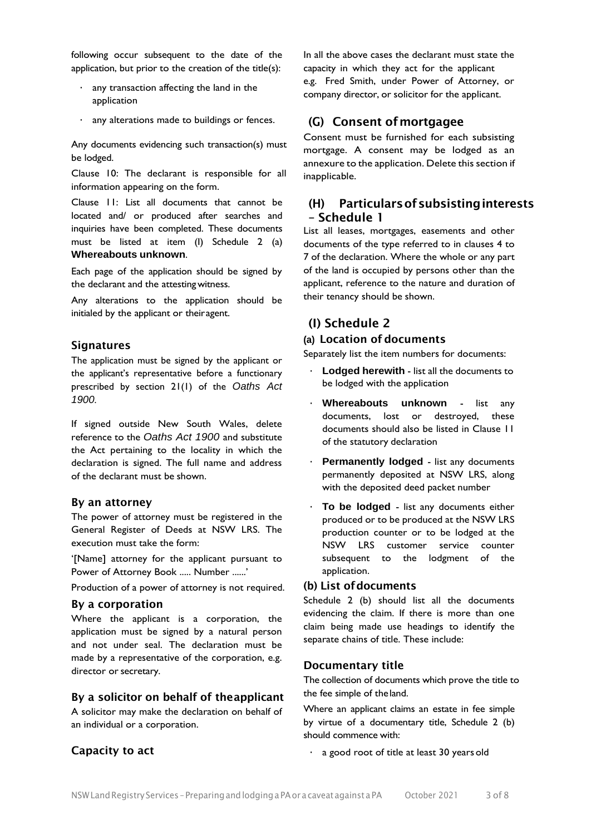following occur subsequent to the date of the application, but prior to the creation of the title(s):

- any transaction affecting the land in the application
- any alterations made to buildings or fences.

Any documents evidencing such transaction(s) must be lodged.

Clause 10: The declarant is responsible for all information appearing on the form.

Clause 11: List all documents that cannot be located and/ or produced after searches and inquiries have been completed. These documents must be listed at item (I) Schedule 2 (a) **Whereabouts unknown**.

Each page of the application should be signed by the declarant and the attestingwitness.

Any alterations to the application should be initialed by the applicant or theiragent.

#### Signatures

The application must be signed by the applicant or the applicant's representative before a functionary prescribed by section 21(1) of the *Oaths Act 1900*.

If signed outside New South Wales, delete reference to the *Oaths Act 1900* and substitute the Act pertaining to the locality in which the declaration is signed. The full name and address of the declarant must be shown.

#### By an attorney

The power of attorney must be registered in the General Register of Deeds at NSW LRS. The execution must take the form:

'[Name] attorney for the applicant pursuant to Power of Attorney Book ..... Number ......'

Production of a power of attorney is not required.

#### By a corporation

Where the applicant is a corporation, the application must be signed by a natural person and not under seal. The declaration must be made by a representative of the corporation, e.g. director or secretary.

#### By a solicitor on behalf of theapplicant

A solicitor may make the declaration on behalf of an individual or a corporation.

#### Capacity to act

In all the above cases the declarant must state the capacity in which they act for the applicant e.g. Fred Smith, under Power of Attorney, or company director, or solicitor for the applicant.

#### (G) Consent ofmortgagee

Consent must be furnished for each subsisting mortgage. A consent may be lodged as an annexure to the application. Delete this section if inapplicable.

#### (H) Particularsofsubsistinginterests – Schedule 1

List all leases, mortgages, easements and other documents of the type referred to in clauses 4 to 7 of the declaration. Where the whole or any part of the land is occupied by persons other than the applicant, reference to the nature and duration of their tenancy should be shown.

## (I) Schedule 2

#### **(a)** Location of documents

Separately list the item numbers for documents:

- **Lodged herewith** list all the documents to be lodged with the application
- **Whereabouts unknown**  list any documents, lost or destroyed, these documents should also be listed in Clause 11 of the statutory declaration
- **Permanently lodged** list any documents permanently deposited at NSW LRS, along with the deposited deed packet number
- **To be lodged**  list any documents either produced or to be produced at the NSW LRS production counter or to be lodged at the NSW LRS customer service counter subsequent to the lodgment of the application.

#### (b) List ofdocuments

Schedule 2 (b) should list all the documents evidencing the claim. If there is more than one claim being made use headings to identify the separate chains of title. These include:

#### Documentary title

The collection of documents which prove the title to the fee simple of theland.

Where an applicant claims an estate in fee simple by virtue of a documentary title, Schedule 2 (b) should commence with:

• a good root of title at least 30 yearsold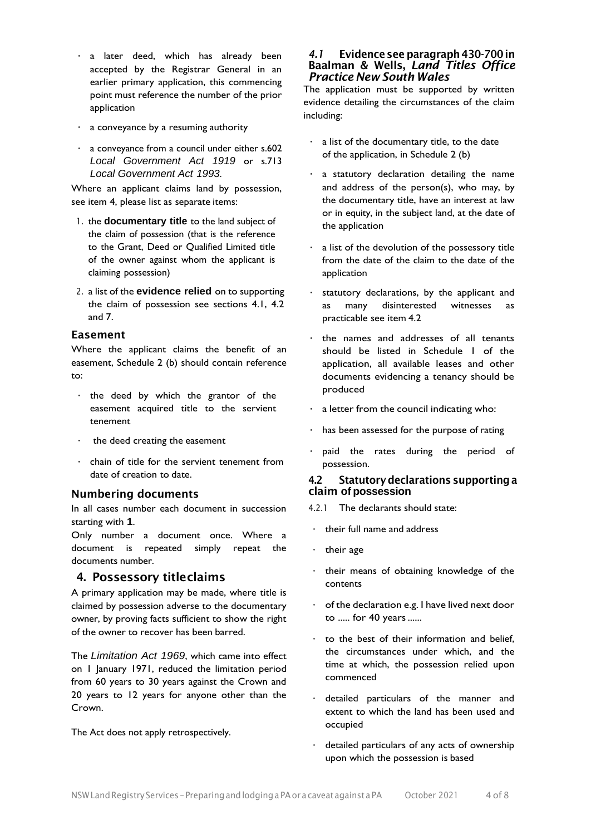- a later deed, which has already been accepted by the Registrar General in an earlier primary application, this commencing point must reference the number of the prior application
- a conveyance by a resuming authority
- a conveyance from a council under either s.602 *Local Government Act 1919* or s.713 *Local Government Act 1993.*

Where an applicant claims land by possession, see item 4, please list as separate items:

- 1. the **documentary title** to the land subject of the claim of possession (that is the reference to the Grant, Deed or Qualified Limited title of the owner against whom the applicant is claiming possession)
- 2. a list of the **evidence relied** on to supporting the claim of possession see sections 4.1, 4.2 and 7.

#### Easement

Where the applicant claims the benefit of an easement, Schedule 2 (b) should contain reference to:

- the deed by which the grantor of the easement acquired title to the servient tenement
- the deed creating the easement
- chain of title for the servient tenement from date of creation to date.

## Numbering documents

In all cases number each document in succession starting with **1**.

Only number a document once. Where a document is repeated simply repeat the documents number.

## 4. Possessory titleclaims

A primary application may be made, where title is claimed by possession adverse to the documentary owner, by proving facts sufficient to show the right of the owner to recover has been barred.

The *Limitation Act 1969*, which came into effect on 1 January 1971, reduced the limitation period from 60 years to 30 years against the Crown and 20 years to 12 years for anyone other than the Crown.

The Act does not apply retrospectively.

#### *4.1* Evidence see paragraph430-700in Baalman & Wells, *Land Titles Office Practice New South Wales*

The application must be supported by written evidence detailing the circumstances of the claim including:

- $\cdot$  a list of the documentary title, to the date of the application, in Schedule 2 (b)
- a statutory declaration detailing the name and address of the person(s), who may, by the documentary title, have an interest at law or in equity, in the subject land, at the date of the application
- a list of the devolution of the possessory title from the date of the claim to the date of the application
- statutory declarations, by the applicant and as many disinterested witnesses as practicable see item 4.2
- the names and addresses of all tenants should be listed in Schedule 1 of the application, all available leases and other documents evidencing a tenancy should be produced
- a letter from the council indicating who:
- has been assessed for the purpose of rating
- paid the rates during the period of possession.

#### 4.2 Statutorydeclarations supportinga claim **of possession**

- 4.2.1 The declarants should state:
- their full name and address
- their age
- their means of obtaining knowledge of the contents
- $\cdot$  of the declaration e.g. I have lived next door to ..... for 40 years......
- to the best of their information and belief, the circumstances under which, and the time at which, the possession relied upon commenced
- detailed particulars of the manner and extent to which the land has been used and occupied
- detailed particulars of any acts of ownership upon which the possession is based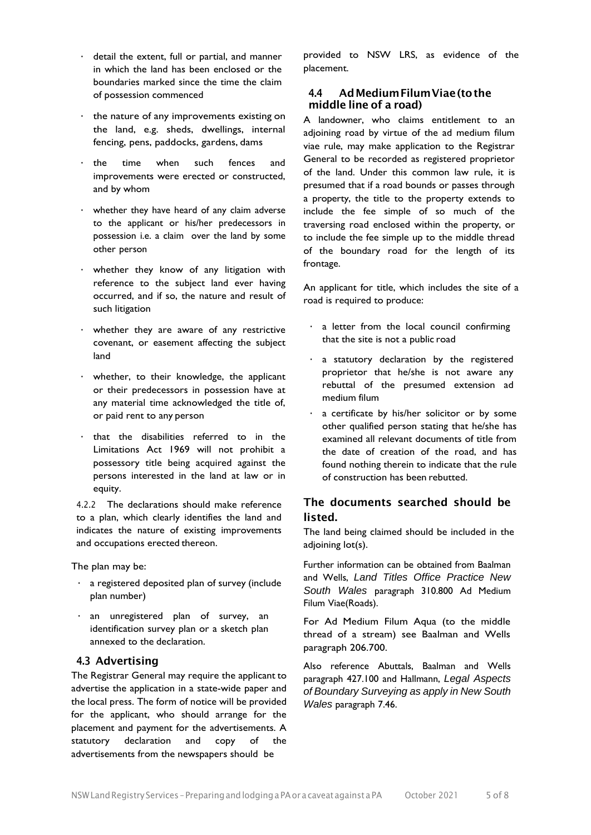- detail the extent, full or partial, and manner in which the land has been enclosed or the boundaries marked since the time the claim of possession commenced
- the nature of any improvements existing on the land, e.g. sheds, dwellings, internal fencing, pens, paddocks, gardens, dams
- the time when such fences and improvements were erected or constructed, and by whom
- whether they have heard of any claim adverse to the applicant or his/her predecessors in possession i.e. a claim over the land by some other person
- whether they know of any litigation with reference to the subject land ever having occurred, and if so, the nature and result of such litigation
- whether they are aware of any restrictive covenant, or easement affecting the subject land
- whether, to their knowledge, the applicant or their predecessors in possession have at any material time acknowledged the title of, or paid rent to any person
- that the disabilities referred to in the Limitations Act 1969 will not prohibit a possessory title being acquired against the persons interested in the land at law or in equity.

4.2.2 The declarations should make reference to a plan, which clearly identifies the land and indicates the nature of existing improvements and occupations erected thereon.

The plan may be:

- a registered deposited plan of survey (include plan number)
- an unregistered plan of survey, an identification survey plan or a sketch plan annexed to the declaration.

#### 4.3 Advertising

The Registrar General may require the applicant to advertise the application in a state-wide paper and the local press. The form of notice will be provided for the applicant, who should arrange for the placement and payment for the advertisements. A statutory declaration and copy of the advertisements from the newspapers should be

provided to NSW LRS, as evidence of the placement.

#### 4.4 AdMediumFilumViae(tothe middle line of a road)

A landowner, who claims entitlement to an adjoining road by virtue of the ad medium filum viae rule, may make application to the Registrar General to be recorded as registered proprietor of the land. Under this common law rule, it is presumed that if a road bounds or passes through a property, the title to the property extends to include the fee simple of so much of the traversing road enclosed within the property, or to include the fee simple up to the middle thread of the boundary road for the length of its frontage.

An applicant for title, which includes the site of a road is required to produce:

- a letter from the local council confirming that the site is not a public road
- a statutory declaration by the registered proprietor that he/she is not aware any rebuttal of the presumed extension ad medium filum
- a certificate by his/her solicitor or by some other qualified person stating that he/she has examined all relevant documents of title from the date of creation of the road, and has found nothing therein to indicate that the rule of construction has been rebutted.

# The documents searched should be listed.

The land being claimed should be included in the adjoining lot(s).

Further information can be obtained from Baalman and Wells, *Land Titles Office Practice New South Wales* paragraph 310.800 Ad Medium Filum Viae(Roads).

For Ad Medium Filum Aqua (to the middle thread of a stream) see Baalman and Wells paragraph 206.700.

Also reference Abuttals, Baalman and Wells paragraph 427.100 and Hallmann, *Legal Aspects of Boundary Surveying as apply in New South Wales* paragraph 7.46.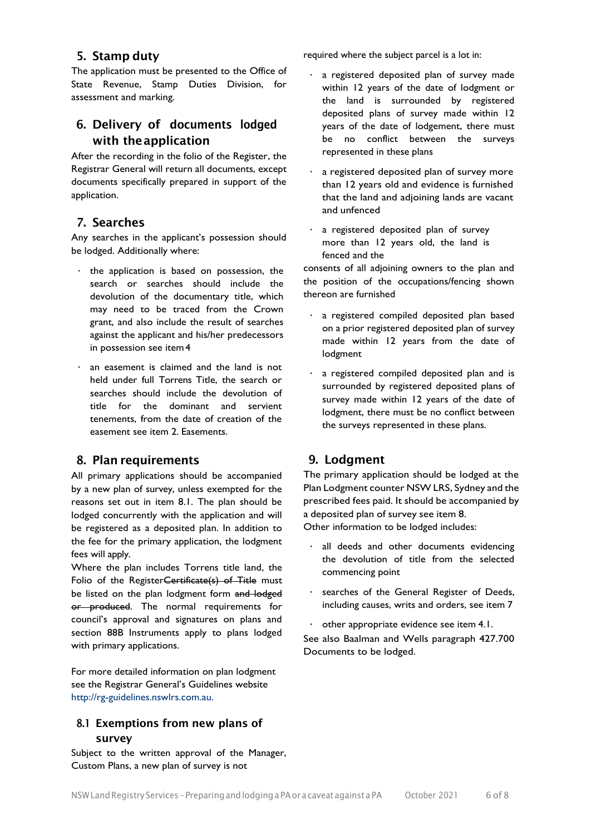# 5. Stamp duty

The application must be presented to the Office of State Revenue, Stamp Duties Division, for assessment and marking.

# 6. Delivery of documents lodged with theapplication

After the recording in the folio of the Register, the Registrar General will return all documents, except documents specifically prepared in support of the application.

## 7. Searches

Any searches in the applicant's possession should be lodged. Additionally where:

- the application is based on possession, the search or searches should include the devolution of the documentary title, which may need to be traced from the Crown grant, and also include the result of searches against the applicant and his/her predecessors in possession see item4
- an easement is claimed and the land is not held under full Torrens Title, the search or searches should include the devolution of title for the dominant and servient tenements, from the date of creation of the easement see item 2. Easements.

# 8. Plan requirements

All primary applications should be accompanied by a new plan of survey, unless exempted for the reasons set out in item 8.1. The plan should be lodged concurrently with the application and will be registered as a deposited plan. In addition to the fee for the primary application, the lodgment fees will apply.

Where the plan includes Torrens title land, the Folio of the Register<del>Certificate(s) of Title</del> must be listed on the plan lodgment form and lodged or produced. The normal requirements for council's approval and signatures on plans and section 88B Instruments apply to plans lodged with primary applications.

For more detailed information on plan lodgment see the Registrar General's Guidelines website [http://rg-guidelines.nswlrs.com.au.](http://rgdirections.lpi.nsw.gov.au/)

# 8.1 Exemptions from new plans of survey

Subject to the written approval of the Manager, Custom Plans, a new plan of survey is not

required where the subject parcel is a lot in:

- a registered deposited plan of survey made within 12 years of the date of lodgment or the land is surrounded by registered deposited plans of survey made within 12 years of the date of lodgement, there must be no conflict between the surveys represented in these plans
- a registered deposited plan of survey more than 12 years old and evidence is furnished that the land and adjoining lands are vacant and unfenced
- a registered deposited plan of survey more than 12 years old, the land is fenced and the

consents of all adjoining owners to the plan and the position of the occupations/fencing shown thereon are furnished

- a registered compiled deposited plan based on a prior registered deposited plan of survey made within 12 years from the date of lodgment
- a registered compiled deposited plan and is surrounded by registered deposited plans of survey made within 12 years of the date of lodgment, there must be no conflict between the surveys represented in these plans.

# 9. Lodgment

The primary application should be lodged at the Plan Lodgment counter NSW LRS, Sydney and the prescribed fees paid. It should be accompanied by a deposited plan of survey see item 8.

Other information to be lodged includes:

- all deeds and other documents evidencing the devolution of title from the selected commencing point
- searches of the General Register of Deeds, including causes, writs and orders, see item 7
- other appropriate evidence see item 4.1.

See also Baalman and Wells paragraph 427.700 Documents to be lodged.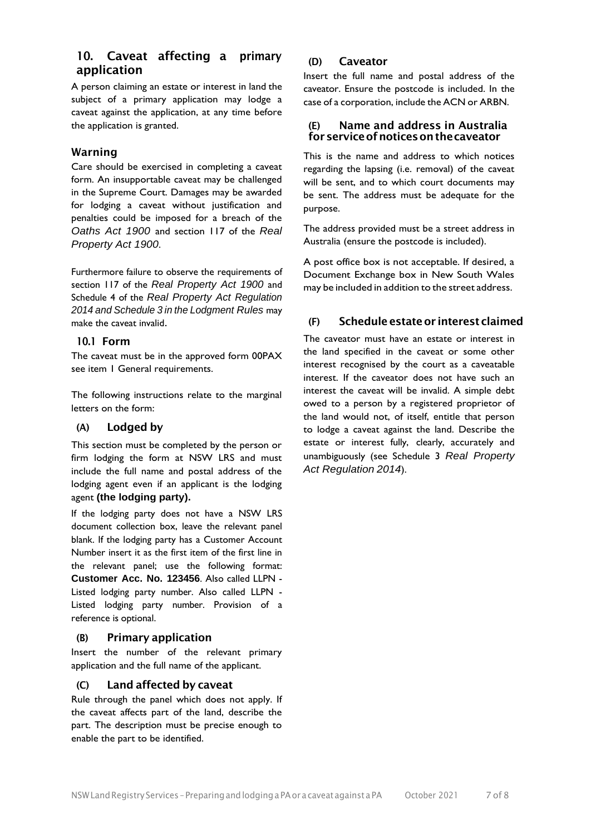# 10. Caveat affecting a primary application

A person claiming an estate or interest in land the subject of a primary application may lodge a caveat against the application, at any time before the application is granted.

## Warning

Care should be exercised in completing a caveat form. An insupportable caveat may be challenged in the Supreme Court. Damages may be awarded for lodging a caveat without justification and penalties could be imposed for a breach of the *Oaths Act 1900* and section 117 of the *Real Property Act 1900*.

Furthermore failure to observe the requirements of section 117 of the *Real Property Act 1900* and Schedule 4 of the *Real Property Act Regulation 2014 and Schedule 3 in the Lodgment Rules* may make the caveat invalid.

## 10.1 Form

The caveat must be in the approved form 00PAX see item 1 General requirements.

The following instructions relate to the marginal letters on the form:

## (A) Lodged by

This section must be completed by the person or firm lodging the form at NSW LRS and must include the full name and postal address of the lodging agent even if an applicant is the lodging agent **(the lodging party).**

If the lodging party does not have a NSW LRS document collection box, leave the relevant panel blank. If the lodging party has a Customer Account Number insert it as the first item of the first line in the relevant panel; use the following format: **Customer Acc. No. 123456**. Also called LLPN - Listed lodging party number. Also called LLPN - Listed lodging party number. Provision of a reference is optional.

# (B) Primary application

Insert the number of the relevant primary application and the full name of the applicant.

# (C) Land affected by caveat

Rule through the panel which does not apply. If the caveat affects part of the land, describe the part. The description must be precise enough to enable the part to be identified.

## (D) Caveator

Insert the full name and postal address of the caveator. Ensure the postcode is included. In the case of a corporation, include the ACN or ARBN.

## (E) Name and address in Australia forserviceofnoticesonthecaveator

This is the name and address to which notices regarding the lapsing (i.e. removal) of the caveat will be sent, and to which court documents may be sent. The address must be adequate for the purpose.

The address provided must be a street address in Australia (ensure the postcode is included).

A post office box is not acceptable. If desired, a Document Exchange box in New South Wales may be included in addition to the street address.

# (F) Schedule estateor interest claimed

The caveator must have an estate or interest in the land specified in the caveat or some other interest recognised by the court as a caveatable interest. If the caveator does not have such an interest the caveat will be invalid. A simple debt owed to a person by a registered proprietor of the land would not, of itself, entitle that person to lodge a caveat against the land. Describe the estate or interest fully, clearly, accurately and unambiguously (see Schedule 3 *Real Property Act Regulation 2014*).